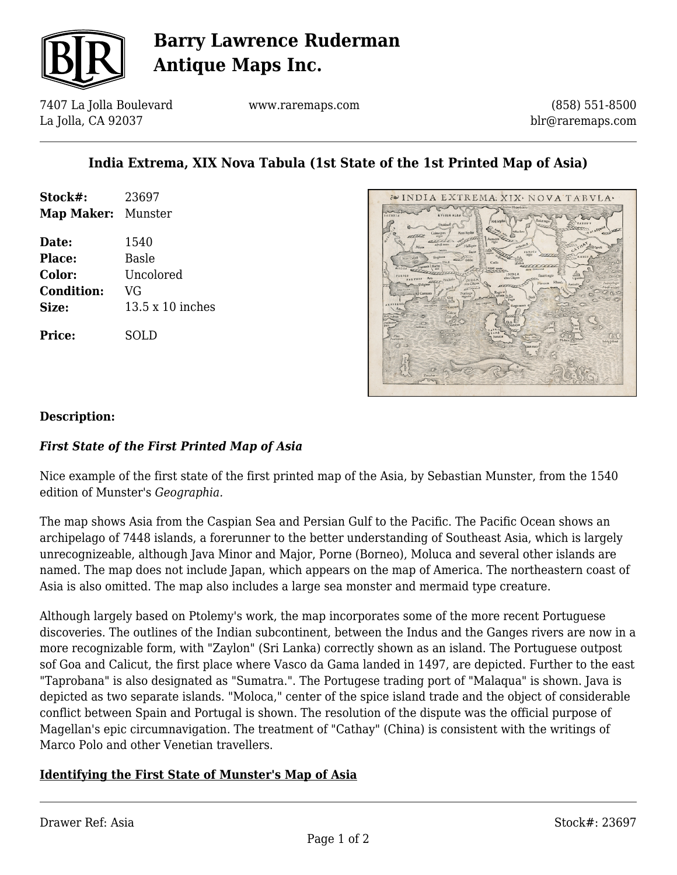

# **Barry Lawrence Ruderman Antique Maps Inc.**

7407 La Jolla Boulevard La Jolla, CA 92037

www.raremaps.com

(858) 551-8500 blr@raremaps.com

## **India Extrema, XIX Nova Tabula (1st State of the 1st Printed Map of Asia)**

| Stock#:                   | 23697                   |
|---------------------------|-------------------------|
| <b>Map Maker:</b> Munster |                         |
| Date:                     | 1540                    |
| Place:                    | <b>Basle</b>            |
| <b>Color:</b>             | Uncolored               |
| <b>Condition:</b>         | VG                      |
| Size:                     | $13.5 \times 10$ inches |
| <b>Price:</b>             | SOLD                    |



#### **Description:**

### *First State of the First Printed Map of Asia*

Nice example of the first state of the first printed map of the Asia, by Sebastian Munster, from the 1540 edition of Munster's *Geographia.*

The map shows Asia from the Caspian Sea and Persian Gulf to the Pacific. The Pacific Ocean shows an archipelago of 7448 islands, a forerunner to the better understanding of Southeast Asia, which is largely unrecognizeable, although Java Minor and Major, Porne (Borneo), Moluca and several other islands are named. The map does not include Japan, which appears on the map of America. The northeastern coast of Asia is also omitted. The map also includes a large sea monster and mermaid type creature.

Although largely based on Ptolemy's work, the map incorporates some of the more recent Portuguese discoveries. The outlines of the Indian subcontinent, between the Indus and the Ganges rivers are now in a more recognizable form, with "Zaylon" (Sri Lanka) correctly shown as an island. The Portuguese outpost sof Goa and Calicut, the first place where Vasco da Gama landed in 1497, are depicted. Further to the east "Taprobana" is also designated as "Sumatra.". The Portugese trading port of "Malaqua" is shown. Java is depicted as two separate islands. "Moloca," center of the spice island trade and the object of considerable conflict between Spain and Portugal is shown. The resolution of the dispute was the official purpose of Magellan's epic circumnavigation. The treatment of "Cathay" (China) is consistent with the writings of Marco Polo and other Venetian travellers.

### **Identifying the First State of Munster's Map of Asia**